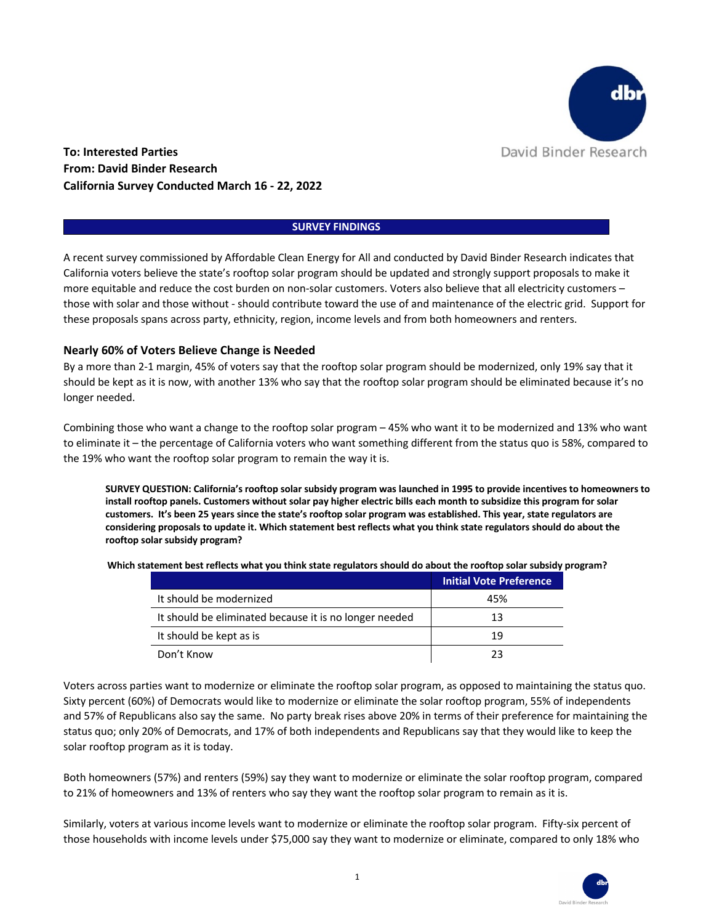

**To: Interested Parties From: David Binder Research California Survey Conducted March 16 - 22, 2022**

#### **SURVEY FINDINGS**

A recent survey commissioned by Affordable Clean Energy for All and conducted by David Binder Research indicates that California voters believe the state's rooftop solar program should be updated and strongly support proposals to make it more equitable and reduce the cost burden on non-solar customers. Voters also believe that all electricity customers – those with solar and those without - should contribute toward the use of and maintenance of the electric grid. Support for these proposals spans across party, ethnicity, region, income levels and from both homeowners and renters.

#### **Nearly 60% of Voters Believe Change is Needed**

By a more than 2-1 margin, 45% of voters say that the rooftop solar program should be modernized, only 19% say that it should be kept as it is now, with another 13% who say that the rooftop solar program should be eliminated because it's no longer needed.

Combining those who want a change to the rooftop solar program – 45% who want it to be modernized and 13% who want to eliminate it – the percentage of California voters who want something different from the status quo is 58%, compared to the 19% who want the rooftop solar program to remain the way it is.

**SURVEY QUESTION: California's rooftop solar subsidy program was launched in 1995 to provide incentives to homeowners to install rooftop panels. Customers without solar pay higher electric bills each month to subsidize this program for solar customers. It's been 25 years since the state's rooftop solar program was established. This year, state regulators are considering proposals to update it. Which statement best reflects what you think state regulators should do about the rooftop solar subsidy program?**

**Which statement best reflects what you think state regulators should do about the rooftop solar subsidy program?**

|                                                        | <b>Initial Vote Preference</b> |
|--------------------------------------------------------|--------------------------------|
| It should be modernized                                | 45%                            |
| It should be eliminated because it is no longer needed | 13                             |
| It should be kept as is                                | 19                             |
| Don't Know                                             | つつ                             |

Voters across parties want to modernize or eliminate the rooftop solar program, as opposed to maintaining the status quo. Sixty percent (60%) of Democrats would like to modernize or eliminate the solar rooftop program, 55% of independents and 57% of Republicans also say the same. No party break rises above 20% in terms of their preference for maintaining the status quo; only 20% of Democrats, and 17% of both independents and Republicans say that they would like to keep the solar rooftop program as it is today.

Both homeowners (57%) and renters (59%) say they want to modernize or eliminate the solar rooftop program, compared to 21% of homeowners and 13% of renters who say they want the rooftop solar program to remain as it is.

Similarly, voters at various income levels want to modernize or eliminate the rooftop solar program. Fifty-six percent of those households with income levels under \$75,000 say they want to modernize or eliminate, compared to only 18% who

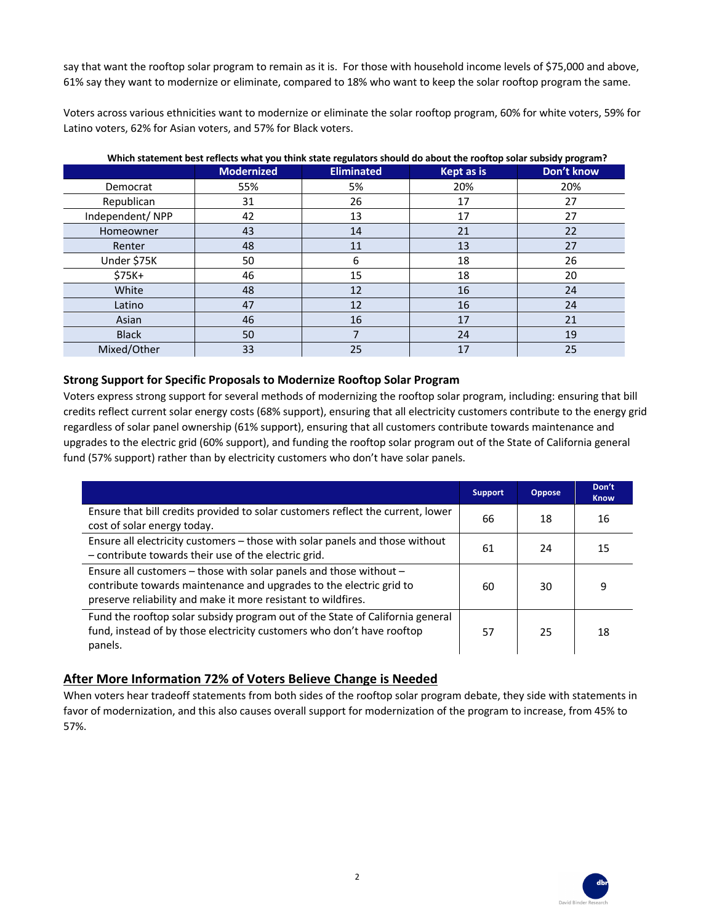say that want the rooftop solar program to remain as it is. For those with household income levels of \$75,000 and above, 61% say they want to modernize or eliminate, compared to 18% who want to keep the solar rooftop program the same.

Voters across various ethnicities want to modernize or eliminate the solar rooftop program, 60% for white voters, 59% for Latino voters, 62% for Asian voters, and 57% for Black voters.

|                 |                   | - 0 - - - - - - - - - - - |            |            |
|-----------------|-------------------|---------------------------|------------|------------|
|                 | <b>Modernized</b> | <b>Eliminated</b>         | Kept as is | Don't know |
| Democrat        | 55%               | 5%                        | 20%        | 20%        |
| Republican      | 31                | 26                        | 17         | 27         |
| Independent/NPP | 42                | 13                        | 17         | 27         |
| Homeowner       | 43                | 14                        | 21         | 22         |
| Renter          | 48                | 11                        | 13         | 27         |
| Under \$75K     | 50                | 6                         | 18         | 26         |
| $$75K+$         | 46                | 15                        | 18         | 20         |
| White           | 48                | 12                        | 16         | 24         |
| Latino          | 47                | 12                        | 16         | 24         |
| Asian           | 46                | 16                        | 17         | 21         |
| <b>Black</b>    | 50                | ⇁                         | 24         | 19         |
| Mixed/Other     | 33                | 25                        | 17         | 25         |

**Which statement best reflects what you think state regulators should do about the rooftop solar subsidy program?**

### **Strong Support for Specific Proposals to Modernize Rooftop Solar Program**

Voters express strong support for several methods of modernizing the rooftop solar program, including: ensuring that bill credits reflect current solar energy costs (68% support), ensuring that all electricity customers contribute to the energy grid regardless of solar panel ownership (61% support), ensuring that all customers contribute towards maintenance and upgrades to the electric grid (60% support), and funding the rooftop solar program out of the State of California general fund (57% support) rather than by electricity customers who don't have solar panels.

|                                                                                                                                                                                                            | <b>Support</b> | <b>Oppose</b> | Don't<br><b>Know</b> |
|------------------------------------------------------------------------------------------------------------------------------------------------------------------------------------------------------------|----------------|---------------|----------------------|
| Ensure that bill credits provided to solar customers reflect the current, lower<br>cost of solar energy today.                                                                                             | 66             | 18            | 16                   |
| Ensure all electricity customers - those with solar panels and those without<br>- contribute towards their use of the electric grid.                                                                       | 61             | 24            | 15                   |
| Ensure all customers - those with solar panels and those without -<br>contribute towards maintenance and upgrades to the electric grid to<br>preserve reliability and make it more resistant to wildfires. | 60             | 30            | 9                    |
| Fund the rooftop solar subsidy program out of the State of California general<br>fund, instead of by those electricity customers who don't have rooftop<br>panels.                                         | 57             | 25            | 18                   |

## **After More Information 72% of Voters Believe Change is Needed**

When voters hear tradeoff statements from both sides of the rooftop solar program debate, they side with statements in favor of modernization, and this also causes overall support for modernization of the program to increase, from 45% to 57%.